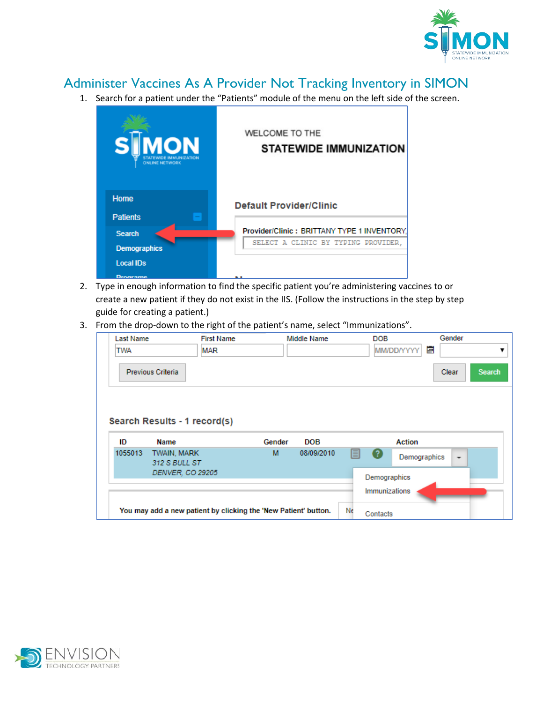

## Administer Vaccines As A Provider Not Tracking Inventory in SIMON

1. Search for a patient under the "Patients" module of the menu on the left side of the screen.

| <b>SIMON</b><br><b>ONLINE NETWORK</b> | WELCOME TO THE<br><b>STATEWIDE IMMUNIZATION</b> |
|---------------------------------------|-------------------------------------------------|
| Home                                  | <b>Default Provider/Clinic</b>                  |
| <b>Patients</b>                       |                                                 |
| <b>Search</b>                         | Provider/Clinic: BRITTANY TYPE 1 INVENTORY.     |
| <b>Demographics</b>                   | SELECT A CLINIC BY TYPING PROVIDER,             |
| <b>Local IDs</b>                      |                                                 |
| Desaransa                             | - -                                             |

- 2. Type in enough information to find the specific patient you're administering vaccines to or create a new patient if they do not exist in the IIS. (Follow the instructions in the step by step guide for creating a patient.)
- 3. From the drop-down to the right of the patient's name, select "Immunizations".

| <b>Last Name</b><br><b>TWA</b> | <b>First Name</b><br><b>MAR</b>      |        | Middle Name | <b>DOB</b><br><b>MM/DD/YYYY</b> | Gender<br>E<br>▼         |
|--------------------------------|--------------------------------------|--------|-------------|---------------------------------|--------------------------|
|                                | <b>Previous Criteria</b>             |        |             |                                 | Clear<br><b>Search</b>   |
| ID                             | Search Results - 1 record(s)<br>Name | Gender | DOB         | Action                          |                          |
|                                |                                      |        |             |                                 |                          |
| 1055013                        | TWAIN, MARK<br>312 S BULL ST         | м      | 08/09/2010  | 目<br>Ø<br>Demographics          | $\overline{\phantom{a}}$ |
|                                | DENVER, CO 29205                     |        |             | Demographics<br>Immunizations   |                          |

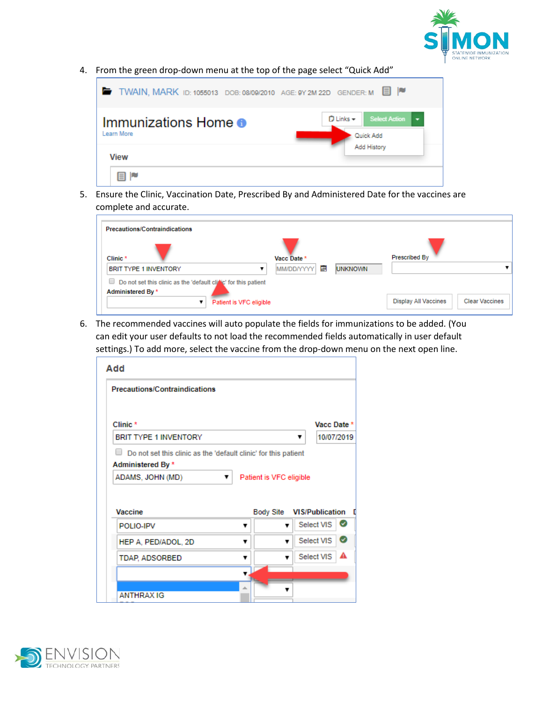

4. From the green drop-down menu at the top of the page select "Quick Add"

| TWAIN, MARK ID: 1055013 DOB: 08/09/2010 AGE: 9Y 2M 22D GENDER: M |  |                            | 目に                                               |
|------------------------------------------------------------------|--|----------------------------|--------------------------------------------------|
| Immunizations Home <sup>o</sup><br>Learn More                    |  | $D$ Links $-$<br>Quick Add | <b>Select Action</b><br>$\overline{\phantom{a}}$ |
| View                                                             |  | Add History                |                                                  |
| Ħ                                                                |  |                            |                                                  |

5. Ensure the Clinic, Vaccination Date, Prescribed By and Administered Date for the vaccines are complete and accurate.

| <b>Precautions/Contraindications</b>                                                      |                 |                |                                                      |
|-------------------------------------------------------------------------------------------|-----------------|----------------|------------------------------------------------------|
| Clinic <sup>*</sup>                                                                       | Vacc Date *     |                | Prescribed By                                        |
| <b>BRIT TYPE 1 INVENTORY</b>                                                              | E<br>MM/DD/YYYY | <b>UNKNOWN</b> |                                                      |
| Do not set this clinic as the 'default clitic' for this patient<br>∪<br>Administered By * |                 |                |                                                      |
| Patient is VFC eligible                                                                   |                 |                | <b>Clear Vaccines</b><br><b>Display All Vaccines</b> |

6. The recommended vaccines will auto populate the fields for immunizations to be added. (You can edit your user defaults to not load the recommended fields automatically in user default settings.) To add more, select the vaccine from the drop-down menu on the next open line.

| <b>Precautions/Contraindications</b>  |   |                         |   |                        |   |
|---------------------------------------|---|-------------------------|---|------------------------|---|
| Clinic*                               |   |                         |   | Vacc Date *            |   |
| <b>BRIT TYPE 1 INVENTORY</b>          |   |                         | ▼ | 10/07/2019             |   |
| Administered By *<br>ADAMS, JOHN (MD) | ▼ | Patient is VFC eligible |   |                        |   |
|                                       |   |                         |   |                        |   |
| Vaccine                               |   | <b>Body Site</b>        |   | <b>VIS/Publication</b> |   |
| POLIO-IPV                             | ▼ |                         |   | Select VIS             | Ø |
| HEP A, PED/ADOL, 2D                   | ▼ |                         |   | Select VIS             |   |
| <b>TDAP, ADSORBED</b>                 | ▼ |                         |   | Select VIS             | Ø |
|                                       |   |                         |   |                        |   |

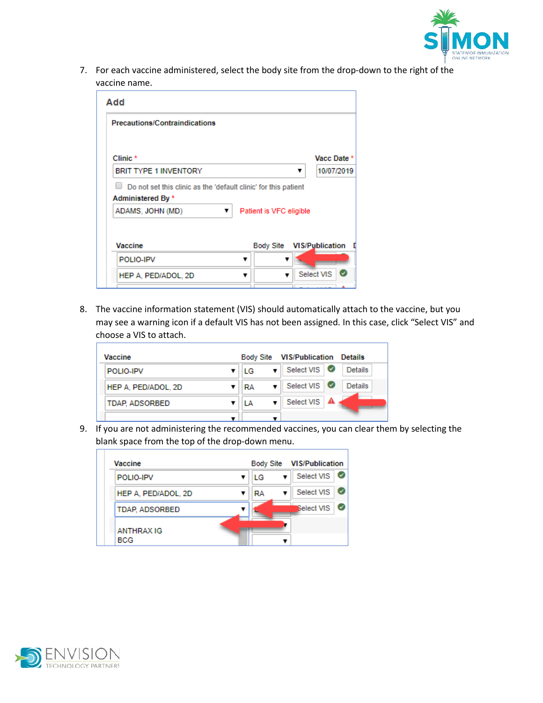

7. For each vaccine administered, select the body site from the drop-down to the right of the vaccine name.

| Add                                                             |                           |
|-----------------------------------------------------------------|---------------------------|
| <b>Precautions/Contraindications</b>                            |                           |
| Clinic <sup>*</sup>                                             | Vacc Date *               |
|                                                                 |                           |
| <b>BRIT TYPE 1 INVENTORY</b>                                    | 10/07/2019<br>▼           |
| Do not set this clinic as the 'default clinic' for this patient |                           |
| Administered By *                                               |                           |
| ADAMS, JOHN (MD)<br>▼                                           | Patient is VFC eligible   |
|                                                                 |                           |
|                                                                 |                           |
| Vaccine                                                         | Body Site VIS/Publication |
| POLIO-IPV                                                       |                           |
| HEP A, PED/ADOL, 2D                                             | Select VIS<br>v           |
|                                                                 |                           |

8. The vaccine information statement (VIS) should automatically attach to the vaccine, but you may see a warning icon if a default VIS has not been assigned. In this case, click "Select VIS" and choose a VIS to attach.

| Vaccine             |    | Body Site VIS/Publication Details |                |
|---------------------|----|-----------------------------------|----------------|
| POLIO-IPV           | ТG | Select VIS                        | <b>Details</b> |
| HEP A. PED/ADOL, 2D | RA | Select VIS <b>O</b>               | <b>Details</b> |
| TDAP, ADSORBED      | IΑ | Select VIS   A                    |                |
|                     |    |                                   |                |

9. If you are not administering the recommended vaccines, you can clear them by selecting the blank space from the top of the drop-down menu.

| Vaccine                         |    | Body Site VIS/Publication |
|---------------------------------|----|---------------------------|
| POLIO-IPV                       | LG | Select VIS                |
| HEP A, PED/ADOL, 2D             | RA | Select VIS                |
| <b>TDAP, ADSORBED</b>           |    | <b>Select VIS</b>         |
| <b>ANTHRAX IG</b><br><b>BCG</b> |    |                           |

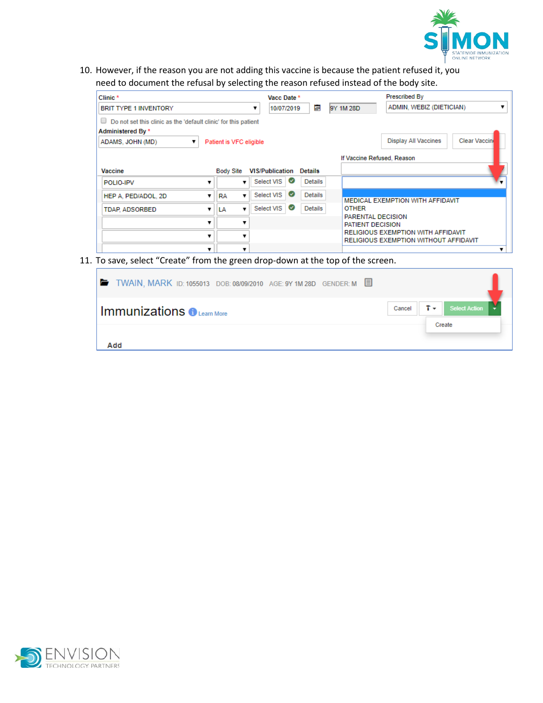

10. However, if the reason you are not adding this vaccine is because the patient refused it, you need to document the refusal by selecting the reason refused instead of the body site.

| Clinic*<br><b>BRIT TYPE 1 INVENTORY</b>                                                     |   |                         | Vacc Date *<br>10/07/2019 | E              | 9Y 1M 28D                             | <b>Prescribed By</b><br>ADMIN, WEBIZ (DIETICIAN)                                   |              |
|---------------------------------------------------------------------------------------------|---|-------------------------|---------------------------|----------------|---------------------------------------|------------------------------------------------------------------------------------|--------------|
| $\Box$ Do not set this clinic as the 'default clinic' for this patient<br>Administered By * |   |                         |                           |                |                                       |                                                                                    |              |
| ADAMS, JOHN (MD)                                                                            |   | Patient is VFC eligible |                           |                |                                       | <b>Display All Vaccines</b>                                                        | Clear Vaccin |
|                                                                                             |   |                         |                           |                |                                       | If Vaccine Refused, Reason                                                         |              |
| Vaccine                                                                                     |   | <b>Body Site</b>        | <b>VIS/Publication</b>    | <b>Details</b> |                                       |                                                                                    |              |
| POLIO-IPV                                                                                   |   |                         | ◙<br>Select VIS           | <b>Details</b> |                                       |                                                                                    |              |
| HEP A. PED/ADOL, 2D                                                                         |   | <b>RA</b>               | Ø<br>Select VIS           | <b>Details</b> |                                       |                                                                                    |              |
| <b>TDAP, ADSORBED</b>                                                                       |   | LA                      | Select VIS<br>Ø           | Details        | <b>OTHER</b>                          | MEDICAL EXEMPTION WITH AFFIDAVIT                                                   |              |
|                                                                                             |   |                         |                           |                | PARENTAL DECISION<br>PATIENT DECISION |                                                                                    |              |
|                                                                                             | v |                         |                           |                |                                       | <b>RELIGIOUS EXEMPTION WITH AFFIDAVIT</b><br>RELIGIOUS EXEMPTION WITHOUT AFFIDAVIT |              |
|                                                                                             |   |                         |                           |                |                                       |                                                                                    |              |

11. To save, select "Create" from the green drop-down at the top of the screen.

| <b>■ TWAIN, MARK ID: 1055013 DOB: 08/09/2010 AGE: 9Y 1M 28D GENDER: M ■</b> |        |            |                      |  |
|-----------------------------------------------------------------------------|--------|------------|----------------------|--|
| $\mid$ Immunizations $\bigoplus_{\text{\tiny{Learn More}}}$                 | Cancel | $T_{\tau}$ | <b>Select Action</b> |  |
| Add                                                                         |        |            | Create               |  |